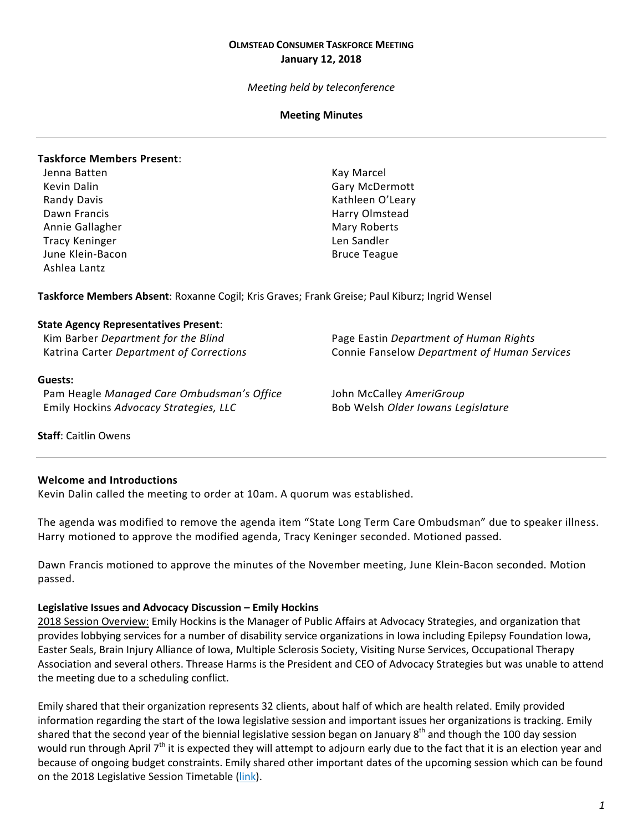### **OLMSTEAD CONSUMER TASKFORCE MEETING January 12, 2018**

*Meeting held by teleconference*

### **Meeting Minutes**

### **Taskforce Members Present**:

- Jenna Batten Kay Marcel Dawn Francis **Harry Olmstead** Annie Gallagher Mary Roberts and Mary Roberts Tracy Keninger and Tracy Keninger Len Sandler June Klein-Bacon **Bruce Teague** Bruce Teague Ashlea Lantz
- Kevin Dalin Gary McDermott Randy Davis **Kathleen O'Leary**

**Taskforce Members Absent**: Roxanne Cogil; Kris Graves; Frank Greise; Paul Kiburz; Ingrid Wensel

#### **State Agency Representatives Present**:

Kim Barber *Department for the Blind* Page Eastin *Department of Human Rights*

### **Guests:**

Pam Heagle *Managed Care Ombudsman's Office* John McCalley *AmeriGroup* Emily Hockins *Advocacy Strategies, LLC* Bob Welsh *Older Iowans Legislature*

Katrina Carter *Department of Corrections* Connie Fanselow *Department of Human Services*

**Staff**: Caitlin Owens

### **Welcome and Introductions**

Kevin Dalin called the meeting to order at 10am. A quorum was established.

The agenda was modified to remove the agenda item "State Long Term Care Ombudsman" due to speaker illness. Harry motioned to approve the modified agenda, Tracy Keninger seconded. Motioned passed.

Dawn Francis motioned to approve the minutes of the November meeting, June Klein-Bacon seconded. Motion passed.

#### **Legislative Issues and Advocacy Discussion – Emily Hockins**

2018 Session Overview: Emily Hockins is the Manager of Public Affairs at Advocacy Strategies, and organization that provides lobbying services for a number of disability service organizations in Iowa including Epilepsy Foundation Iowa, Easter Seals, Brain Injury Alliance of Iowa, Multiple Sclerosis Society, Visiting Nurse Services, Occupational Therapy Association and several others. Threase Harms is the President and CEO of Advocacy Strategies but was unable to attend the meeting due to a scheduling conflict.

Emily shared that their organization represents 32 clients, about half of which are health related. Emily provided information regarding the start of the Iowa legislative session and important issues her organizations is tracking. Emily shared that the second year of the biennial legislative session began on January  $8^{th}$  and though the 100 day session would run through April 7<sup>th</sup> it is expected they will attempt to adjourn early due to the fact that it is an election year and because of ongoing budget constraints. Emily shared other important dates of the upcoming session which can be found on the 2018 Legislative Session Timetable [\(link\)](https://www.legis.iowa.gov/docs/publications/SESTT/861318.pdf).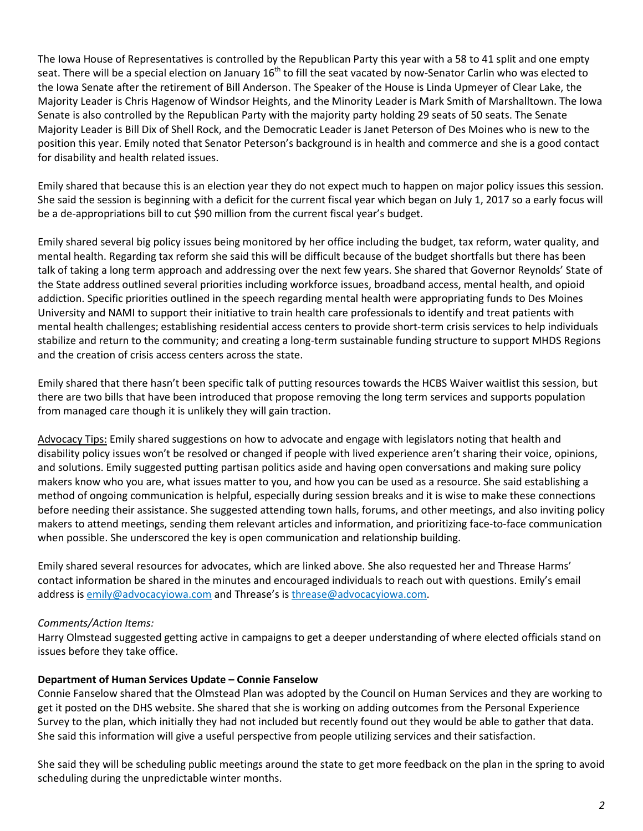The Iowa House of Representatives is controlled by the Republican Party this year with a 58 to 41 split and one empty seat. There will be a special election on January  $16^{th}$  to fill the seat vacated by now-Senator Carlin who was elected to the Iowa Senate after the retirement of Bill Anderson. The Speaker of the House is Linda Upmeyer of Clear Lake, the Majority Leader is Chris Hagenow of Windsor Heights, and the Minority Leader is Mark Smith of Marshalltown. The Iowa Senate is also controlled by the Republican Party with the majority party holding 29 seats of 50 seats. The Senate Majority Leader is Bill Dix of Shell Rock, and the Democratic Leader is Janet Peterson of Des Moines who is new to the position this year. Emily noted that Senator Peterson's background is in health and commerce and she is a good contact for disability and health related issues.

Emily shared that because this is an election year they do not expect much to happen on major policy issues this session. She said the session is beginning with a deficit for the current fiscal year which began on July 1, 2017 so a early focus will be a de-appropriations bill to cut \$90 million from the current fiscal year's budget.

Emily shared several big policy issues being monitored by her office including the budget, tax reform, water quality, and mental health. Regarding tax reform she said this will be difficult because of the budget shortfalls but there has been talk of taking a long term approach and addressing over the next few years. She shared that Governor Reynolds' State of the State address outlined several priorities including workforce issues, broadband access, mental health, and opioid addiction. Specific priorities outlined in the speech regarding mental health were appropriating funds to Des Moines University and NAMI to support their initiative to train health care professionals to identify and treat patients with mental health challenges; establishing residential access centers to provide short-term crisis services to help individuals stabilize and return to the community; and creating a long-term sustainable funding structure to support MHDS Regions and the creation of crisis access centers across the state.

Emily shared that there hasn't been specific talk of putting resources towards the HCBS Waiver waitlist this session, but there are two bills that have been introduced that propose removing the long term services and supports population from managed care though it is unlikely they will gain traction.

Advocacy Tips: Emily shared suggestions on how to advocate and engage with legislators noting that health and disability policy issues won't be resolved or changed if people with lived experience aren't sharing their voice, opinions, and solutions. Emily suggested putting partisan politics aside and having open conversations and making sure policy makers know who you are, what issues matter to you, and how you can be used as a resource. She said establishing a method of ongoing communication is helpful, especially during session breaks and it is wise to make these connections before needing their assistance. She suggested attending town halls, forums, and other meetings, and also inviting policy makers to attend meetings, sending them relevant articles and information, and prioritizing face-to-face communication when possible. She underscored the key is open communication and relationship building.

Emily shared several resources for advocates, which are linked above. She also requested her and Threase Harms' contact information be shared in the minutes and encouraged individuals to reach out with questions. Emily's email address is [emily@advocacyiowa.com](mailto:emily@advocacyiowa.com) and Threase's is [threase@advocacyiowa.com.](mailto:threase@advocacyiowa.com)

## *Comments/Action Items:*

Harry Olmstead suggested getting active in campaigns to get a deeper understanding of where elected officials stand on issues before they take office.

## **Department of Human Services Update – Connie Fanselow**

Connie Fanselow shared that the Olmstead Plan was adopted by the Council on Human Services and they are working to get it posted on the DHS website. She shared that she is working on adding outcomes from the Personal Experience Survey to the plan, which initially they had not included but recently found out they would be able to gather that data. She said this information will give a useful perspective from people utilizing services and their satisfaction.

She said they will be scheduling public meetings around the state to get more feedback on the plan in the spring to avoid scheduling during the unpredictable winter months.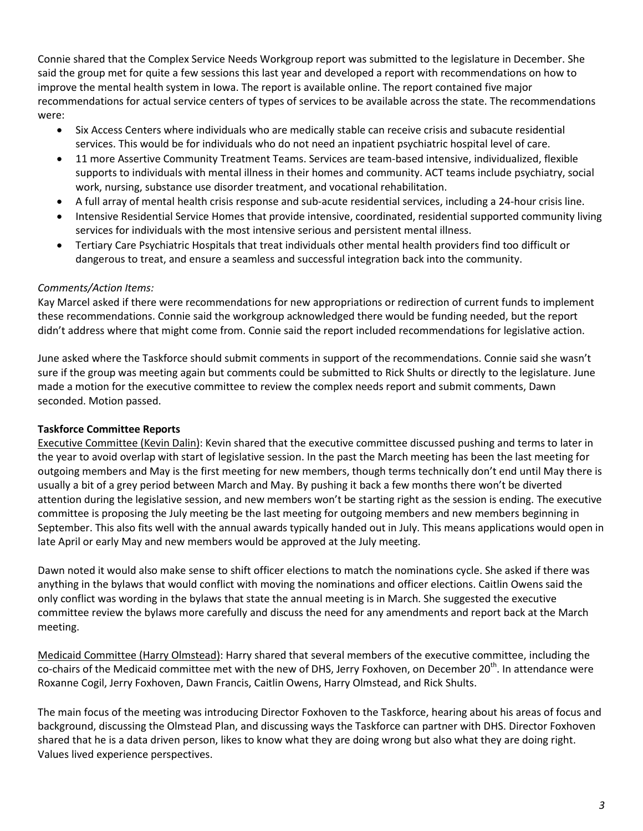Connie shared that the Complex Service Needs Workgroup report was submitted to the legislature in December. She said the group met for quite a few sessions this last year and developed a report with recommendations on how to improve the mental health system in Iowa. The report is available online. The report contained five major recommendations for actual service centers of types of services to be available across the state. The recommendations were:

- Six Access Centers where individuals who are medically stable can receive crisis and subacute residential services. This would be for individuals who do not need an inpatient psychiatric hospital level of care.
- 11 more Assertive Community Treatment Teams. Services are team-based intensive, individualized, flexible supports to individuals with mental illness in their homes and community. ACT teams include psychiatry, social work, nursing, substance use disorder treatment, and vocational rehabilitation.
- A full array of mental health crisis response and sub-acute residential services, including a 24-hour crisis line.
- Intensive Residential Service Homes that provide intensive, coordinated, residential supported community living services for individuals with the most intensive serious and persistent mental illness.
- Tertiary Care Psychiatric Hospitals that treat individuals other mental health providers find too difficult or dangerous to treat, and ensure a seamless and successful integration back into the community.

# *Comments/Action Items:*

Kay Marcel asked if there were recommendations for new appropriations or redirection of current funds to implement these recommendations. Connie said the workgroup acknowledged there would be funding needed, but the report didn't address where that might come from. Connie said the report included recommendations for legislative action.

June asked where the Taskforce should submit comments in support of the recommendations. Connie said she wasn't sure if the group was meeting again but comments could be submitted to Rick Shults or directly to the legislature. June made a motion for the executive committee to review the complex needs report and submit comments, Dawn seconded. Motion passed.

# **Taskforce Committee Reports**

Executive Committee (Kevin Dalin): Kevin shared that the executive committee discussed pushing and terms to later in the year to avoid overlap with start of legislative session. In the past the March meeting has been the last meeting for outgoing members and May is the first meeting for new members, though terms technically don't end until May there is usually a bit of a grey period between March and May. By pushing it back a few months there won't be diverted attention during the legislative session, and new members won't be starting right as the session is ending. The executive committee is proposing the July meeting be the last meeting for outgoing members and new members beginning in September. This also fits well with the annual awards typically handed out in July. This means applications would open in late April or early May and new members would be approved at the July meeting.

Dawn noted it would also make sense to shift officer elections to match the nominations cycle. She asked if there was anything in the bylaws that would conflict with moving the nominations and officer elections. Caitlin Owens said the only conflict was wording in the bylaws that state the annual meeting is in March. She suggested the executive committee review the bylaws more carefully and discuss the need for any amendments and report back at the March meeting.

Medicaid Committee (Harry Olmstead): Harry shared that several members of the executive committee, including the co-chairs of the Medicaid committee met with the new of DHS, Jerry Foxhoven, on December 20<sup>th</sup>. In attendance were Roxanne Cogil, Jerry Foxhoven, Dawn Francis, Caitlin Owens, Harry Olmstead, and Rick Shults.

The main focus of the meeting was introducing Director Foxhoven to the Taskforce, hearing about his areas of focus and background, discussing the Olmstead Plan, and discussing ways the Taskforce can partner with DHS. Director Foxhoven shared that he is a data driven person, likes to know what they are doing wrong but also what they are doing right. Values lived experience perspectives.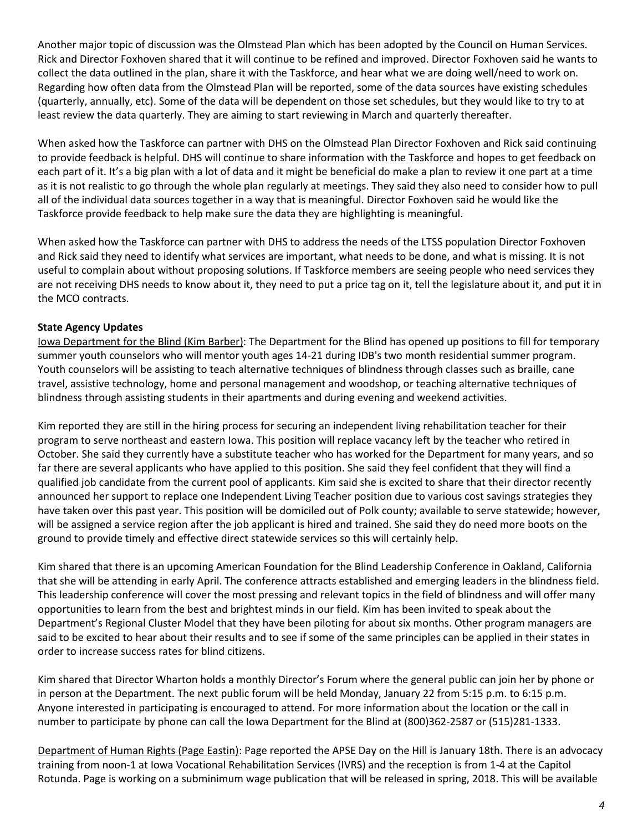Another major topic of discussion was the Olmstead Plan which has been adopted by the Council on Human Services. Rick and Director Foxhoven shared that it will continue to be refined and improved. Director Foxhoven said he wants to collect the data outlined in the plan, share it with the Taskforce, and hear what we are doing well/need to work on. Regarding how often data from the Olmstead Plan will be reported, some of the data sources have existing schedules (quarterly, annually, etc). Some of the data will be dependent on those set schedules, but they would like to try to at least review the data quarterly. They are aiming to start reviewing in March and quarterly thereafter.

When asked how the Taskforce can partner with DHS on the Olmstead Plan Director Foxhoven and Rick said continuing to provide feedback is helpful. DHS will continue to share information with the Taskforce and hopes to get feedback on each part of it. It's a big plan with a lot of data and it might be beneficial do make a plan to review it one part at a time as it is not realistic to go through the whole plan regularly at meetings. They said they also need to consider how to pull all of the individual data sources together in a way that is meaningful. Director Foxhoven said he would like the Taskforce provide feedback to help make sure the data they are highlighting is meaningful.

When asked how the Taskforce can partner with DHS to address the needs of the LTSS population Director Foxhoven and Rick said they need to identify what services are important, what needs to be done, and what is missing. It is not useful to complain about without proposing solutions. If Taskforce members are seeing people who need services they are not receiving DHS needs to know about it, they need to put a price tag on it, tell the legislature about it, and put it in the MCO contracts.

# **State Agency Updates**

Iowa Department for the Blind (Kim Barber): The Department for the Blind has opened up positions to fill for temporary summer youth counselors who will mentor youth ages 14-21 during IDB's two month residential summer program. Youth counselors will be assisting to teach alternative techniques of blindness through classes such as braille, cane travel, assistive technology, home and personal management and woodshop, or teaching alternative techniques of blindness through assisting students in their apartments and during evening and weekend activities.

Kim reported they are still in the hiring process for securing an independent living rehabilitation teacher for their program to serve northeast and eastern Iowa. This position will replace vacancy left by the teacher who retired in October. She said they currently have a substitute teacher who has worked for the Department for many years, and so far there are several applicants who have applied to this position. She said they feel confident that they will find a qualified job candidate from the current pool of applicants. Kim said she is excited to share that their director recently announced her support to replace one Independent Living Teacher position due to various cost savings strategies they have taken over this past year. This position will be domiciled out of Polk county; available to serve statewide; however, will be assigned a service region after the job applicant is hired and trained. She said they do need more boots on the ground to provide timely and effective direct statewide services so this will certainly help.

Kim shared that there is an upcoming American Foundation for the Blind Leadership Conference in Oakland, California that she will be attending in early April. The conference attracts established and emerging leaders in the blindness field. This leadership conference will cover the most pressing and relevant topics in the field of blindness and will offer many opportunities to learn from the best and brightest minds in our field. Kim has been invited to speak about the Department's Regional Cluster Model that they have been piloting for about six months. Other program managers are said to be excited to hear about their results and to see if some of the same principles can be applied in their states in order to increase success rates for blind citizens.

Kim shared that Director Wharton holds a monthly Director's Forum where the general public can join her by phone or in person at the Department. The next public forum will be held Monday, January 22 from 5:15 p.m. to 6:15 p.m. Anyone interested in participating is encouraged to attend. For more information about the location or the call in number to participate by phone can call the Iowa Department for the Blind at (800)362-2587 or (515)281-1333.

Department of Human Rights (Page Eastin): Page reported the APSE Day on the Hill is January 18th. There is an advocacy training from noon-1 at Iowa Vocational Rehabilitation Services (IVRS) and the reception is from 1-4 at the Capitol Rotunda. Page is working on a subminimum wage publication that will be released in spring, 2018. This will be available